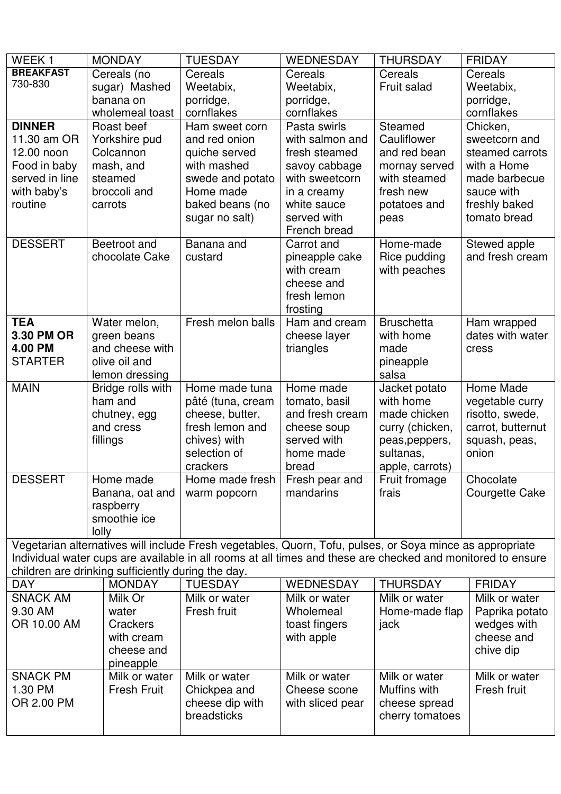| WEEK1            | <b>MONDAY</b>                                      | <b>TUESDAY</b>                                                                                              | <b>WEDNESDAY</b>        | <b>THURSDAY</b>        | <b>FRIDAY</b>     |
|------------------|----------------------------------------------------|-------------------------------------------------------------------------------------------------------------|-------------------------|------------------------|-------------------|
| <b>BREAKFAST</b> | Cereals (no                                        | Cereals                                                                                                     | Cereals                 | Cereals                | Cereals           |
| 730-830          | sugar) Mashed                                      | Weetabix,                                                                                                   | Weetabix,               | Fruit salad            | Weetabix,         |
|                  | banana on                                          | porridge,                                                                                                   | porridge,               |                        | porridge,         |
|                  | wholemeal toast                                    | cornflakes                                                                                                  | cornflakes              |                        | cornflakes        |
| <b>DINNER</b>    | Roast beef                                         | Ham sweet corn                                                                                              | Pasta swirls            | Steamed                | Chicken,          |
| 11.30 am OR      | Yorkshire pud                                      | and red onion                                                                                               | with salmon and         | Cauliflower            | sweetcorn and     |
| 12.00 noon       | Colcannon                                          | quiche served                                                                                               | fresh steamed           | and red bean           | steamed carrots   |
| Food in baby     | mash, and                                          | with mashed                                                                                                 | savoy cabbage           | mornay served          | with a Home       |
| served in line   | steamed                                            | swede and potato                                                                                            | with sweetcorn          | with steamed           | made barbecue     |
| with baby's      | broccoli and                                       | Home made                                                                                                   | in a creamy             | fresh new              | sauce with        |
| routine          | carrots                                            | baked beans (no                                                                                             | white sauce             | potatoes and           | freshly baked     |
|                  |                                                    | sugar no salt)                                                                                              | served with             | peas                   | tomato bread      |
|                  |                                                    |                                                                                                             | French bread            |                        |                   |
| <b>DESSERT</b>   | Beetroot and                                       | Banana and                                                                                                  | Carrot and              | Home-made              | Stewed apple      |
|                  | chocolate Cake                                     | custard                                                                                                     | pineapple cake          | Rice pudding           | and fresh cream   |
|                  |                                                    |                                                                                                             | with cream              | with peaches           |                   |
|                  |                                                    |                                                                                                             | cheese and              |                        |                   |
|                  |                                                    |                                                                                                             | fresh lemon             |                        |                   |
|                  |                                                    |                                                                                                             | frosting                |                        |                   |
| <b>TEA</b>       | Water melon,                                       | Fresh melon balls                                                                                           | Ham and cream           | <b>Bruschetta</b>      | Ham wrapped       |
| 3.30 PM OR       | green beans                                        |                                                                                                             | cheese layer            | with home              | dates with water  |
| 4.00 PM          | and cheese with                                    |                                                                                                             | triangles               | made                   | cress             |
| <b>STARTER</b>   | olive oil and                                      |                                                                                                             |                         | pineapple              |                   |
|                  | lemon dressing                                     |                                                                                                             |                         | salsa                  |                   |
| <b>MAIN</b>      | Bridge rolls with                                  | Home made tuna                                                                                              | Home made               | Jacket potato          | Home Made         |
|                  | ham and                                            | pâté (tuna, cream                                                                                           | tomato, basil           | with home              | vegetable curry   |
|                  | chutney, egg                                       | cheese, butter,                                                                                             | and fresh cream         | made chicken           | risotto, swede,   |
|                  | and cress                                          | fresh lemon and                                                                                             | cheese soup             | curry (chicken,        | carrot, butternut |
|                  | fillings                                           | chives) with                                                                                                | served with             | peas, peppers,         | squash, peas,     |
|                  |                                                    | selection of                                                                                                | home made               | sultanas,              | onion             |
| <b>DESSERT</b>   | Home made                                          | crackers<br>Home made fresh                                                                                 | bread<br>Fresh pear and | apple, carrots)        | Chocolate         |
|                  | Banana, oat and                                    |                                                                                                             | mandarins               | Fruit fromage<br>frais |                   |
|                  | raspberry                                          | warm popcorn                                                                                                |                         |                        | Courgette Cake    |
|                  | smoothie ice                                       |                                                                                                             |                         |                        |                   |
|                  | lolly                                              |                                                                                                             |                         |                        |                   |
|                  |                                                    | Vegetarian alternatives will include Fresh vegetables, Quorn, Tofu, pulses, or Soya mince as appropriate    |                         |                        |                   |
|                  |                                                    | Individual water cups are available in all rooms at all times and these are checked and monitored to ensure |                         |                        |                   |
|                  | children are drinking sufficiently during the day. |                                                                                                             |                         |                        |                   |
| <b>DAY</b>       | <b>MONDAY</b>                                      | <b>TUESDAY</b>                                                                                              | <b>WEDNESDAY</b>        | <b>THURSDAY</b>        | <b>FRIDAY</b>     |
| <b>SNACK AM</b>  | Milk Or                                            | Milk or water                                                                                               | Milk or water           | Milk or water          | Milk or water     |
| 9.30 AM          | water                                              | Fresh fruit                                                                                                 | Wholemeal               | Home-made flap         | Paprika potato    |
| OR 10.00 AM      | Crackers                                           |                                                                                                             | toast fingers           | jack                   | wedges with       |
|                  | with cream                                         |                                                                                                             | with apple              |                        | cheese and        |
|                  | cheese and                                         |                                                                                                             |                         |                        | chive dip         |
|                  | pineapple                                          |                                                                                                             |                         |                        |                   |
| <b>SNACK PM</b>  | Milk or water                                      | Milk or water                                                                                               | Milk or water           | Milk or water          | Milk or water     |
| 1.30 PM          | <b>Fresh Fruit</b>                                 | Chickpea and                                                                                                | Cheese scone            | Muffins with           | Fresh fruit       |
| OR 2.00 PM       |                                                    | cheese dip with                                                                                             | with sliced pear        | cheese spread          |                   |
|                  |                                                    | breadsticks                                                                                                 |                         | cherry tomatoes        |                   |
|                  |                                                    |                                                                                                             |                         |                        |                   |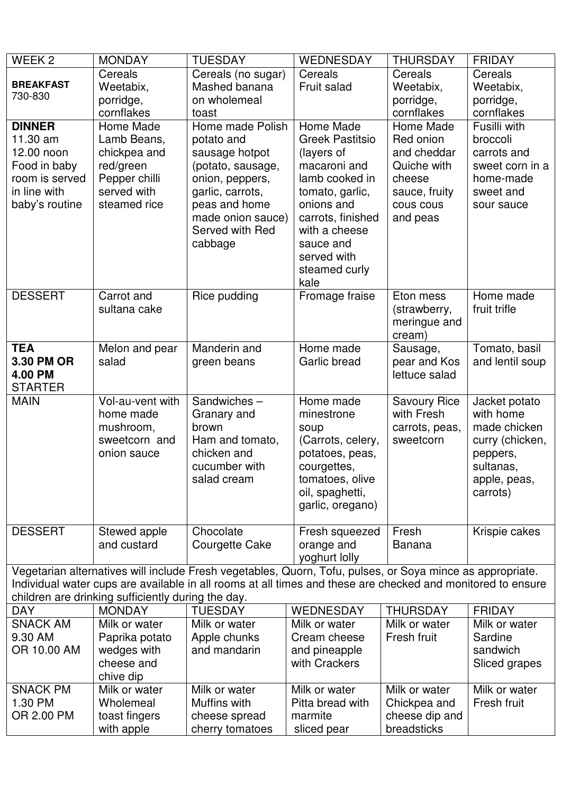| WEEK <sub>2</sub> | <b>MONDAY</b>                                      | <b>TUESDAY</b>                                                                                              | <b>WEDNESDAY</b>            | <b>THURSDAY</b>               | <b>FRIDAY</b>           |
|-------------------|----------------------------------------------------|-------------------------------------------------------------------------------------------------------------|-----------------------------|-------------------------------|-------------------------|
| <b>BREAKFAST</b>  | Cereals                                            | Cereals (no sugar)                                                                                          | Cereals                     | Cereals                       | Cereals                 |
| 730-830           | Weetabix,                                          | Mashed banana                                                                                               | Fruit salad                 | Weetabix,                     | Weetabix,               |
|                   | porridge,                                          | on wholemeal                                                                                                |                             | porridge,                     | porridge,<br>cornflakes |
| <b>DINNER</b>     | cornflakes<br>Home Made                            | toast<br>Home made Polish                                                                                   | Home Made                   | cornflakes<br>Home Made       | Fusilli with            |
| 11.30 am          | Lamb Beans,                                        |                                                                                                             | <b>Greek Pastitsio</b>      | Red onion                     | broccoli                |
| 12.00 noon        | chickpea and                                       | potato and<br>sausage hotpot                                                                                | (layers of                  | and cheddar                   | carrots and             |
| Food in baby      | red/green                                          | (potato, sausage,                                                                                           | macaroni and                | Quiche with                   | sweet corn in a         |
| room is served    | Pepper chilli                                      | onion, peppers,                                                                                             | lamb cooked in              | cheese                        | home-made               |
| in line with      | served with                                        | garlic, carrots,                                                                                            | tomato, garlic,             | sauce, fruity                 | sweet and               |
| baby's routine    | steamed rice                                       | peas and home                                                                                               | onions and                  | cous cous                     | sour sauce              |
|                   |                                                    | made onion sauce)                                                                                           | carrots, finished           | and peas                      |                         |
|                   |                                                    | Served with Red                                                                                             | with a cheese               |                               |                         |
|                   |                                                    | cabbage                                                                                                     | sauce and                   |                               |                         |
|                   |                                                    |                                                                                                             | served with                 |                               |                         |
|                   |                                                    |                                                                                                             | steamed curly               |                               |                         |
|                   |                                                    |                                                                                                             | kale                        |                               |                         |
| <b>DESSERT</b>    | Carrot and                                         | Rice pudding                                                                                                | Fromage fraise              | Eton mess                     | Home made               |
|                   | sultana cake                                       |                                                                                                             |                             | (strawberry,                  | fruit trifle            |
|                   |                                                    |                                                                                                             |                             | meringue and                  |                         |
|                   |                                                    |                                                                                                             |                             | cream)                        |                         |
| <b>TEA</b>        | Melon and pear                                     | Manderin and                                                                                                | Home made                   | Sausage,                      | Tomato, basil           |
| 3.30 PM OR        | salad                                              | green beans                                                                                                 | Garlic bread                | pear and Kos                  | and lentil soup         |
| 4.00 PM           |                                                    |                                                                                                             |                             | lettuce salad                 |                         |
| <b>STARTER</b>    |                                                    |                                                                                                             |                             |                               |                         |
| <b>MAIN</b>       | Vol-au-vent with                                   | Sandwiches-                                                                                                 | Home made                   | <b>Savoury Rice</b>           | Jacket potato           |
|                   | home made                                          | Granary and                                                                                                 | minestrone                  | with Fresh                    | with home               |
|                   |                                                    |                                                                                                             |                             |                               |                         |
|                   | mushroom,                                          | brown                                                                                                       | soup                        | carrots, peas,                | made chicken            |
|                   | sweetcorn and                                      | Ham and tomato,                                                                                             | (Carrots, celery,           | sweetcorn                     | curry (chicken,         |
|                   | onion sauce                                        | chicken and                                                                                                 | potatoes, peas,             |                               | peppers,                |
|                   |                                                    | cucumber with                                                                                               | courgettes,                 |                               | sultanas,               |
|                   |                                                    | salad cream                                                                                                 | tomatoes, olive             |                               | apple, peas,            |
|                   |                                                    |                                                                                                             | oil, spaghetti,             |                               | carrots)                |
|                   |                                                    |                                                                                                             | garlic, oregano)            |                               |                         |
|                   |                                                    |                                                                                                             |                             |                               |                         |
| <b>DESSERT</b>    | Stewed apple<br>and custard                        | Chocolate                                                                                                   | Fresh squeezed              | Fresh<br><b>Banana</b>        | Krispie cakes           |
|                   |                                                    | Courgette Cake                                                                                              | orange and<br>yoghurt lolly |                               |                         |
|                   |                                                    | Vegetarian alternatives will include Fresh vegetables, Quorn, Tofu, pulses, or Soya mince as appropriate.   |                             |                               |                         |
|                   |                                                    | Individual water cups are available in all rooms at all times and these are checked and monitored to ensure |                             |                               |                         |
|                   | children are drinking sufficiently during the day. |                                                                                                             |                             |                               |                         |
| <b>DAY</b>        | <b>MONDAY</b>                                      | <b>TUESDAY</b>                                                                                              | <b>WEDNESDAY</b>            | <b>THURSDAY</b>               | <b>FRIDAY</b>           |
| <b>SNACK AM</b>   | Milk or water                                      | Milk or water                                                                                               | Milk or water               | Milk or water                 | Milk or water           |
| 9.30 AM           | Paprika potato                                     | Apple chunks                                                                                                | Cream cheese                | Fresh fruit                   | Sardine                 |
| OR 10.00 AM       | wedges with                                        | and mandarin                                                                                                | and pineapple               |                               | sandwich                |
|                   | cheese and                                         |                                                                                                             | with Crackers               |                               | Sliced grapes           |
|                   | chive dip                                          |                                                                                                             |                             |                               |                         |
| <b>SNACK PM</b>   | Milk or water                                      | Milk or water                                                                                               | Milk or water               | Milk or water                 | Milk or water           |
| 1.30 PM           | Wholemeal                                          | Muffins with                                                                                                | Pitta bread with            | Chickpea and                  | Fresh fruit             |
| OR 2.00 PM        | toast fingers<br>with apple                        | cheese spread<br>cherry tomatoes                                                                            | marmite<br>sliced pear      | cheese dip and<br>breadsticks |                         |